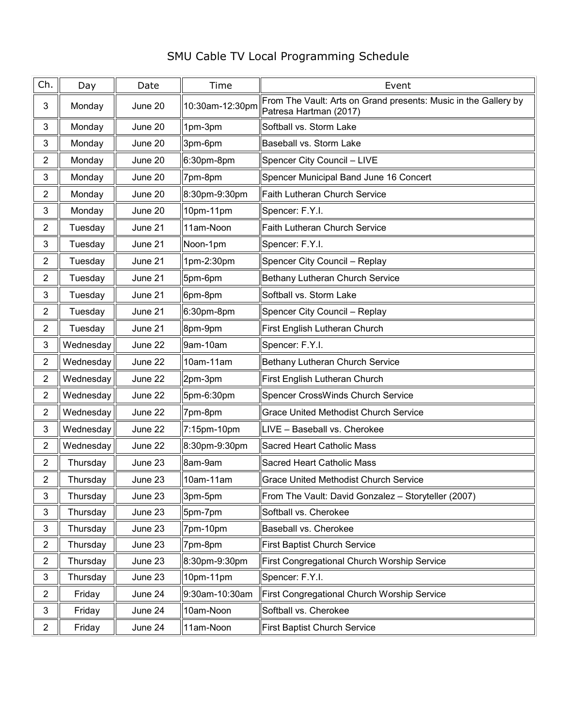## SMU Cable TV Local Programming Schedule

| Ch.            | Day       | Date    | Time            | Event                                                                                     |
|----------------|-----------|---------|-----------------|-------------------------------------------------------------------------------------------|
| 3              | Monday    | June 20 | 10:30am-12:30pm | From The Vault: Arts on Grand presents: Music in the Gallery by<br>Patresa Hartman (2017) |
| 3              | Monday    | June 20 | 1pm-3pm         | Softball vs. Storm Lake                                                                   |
| 3              | Monday    | June 20 | 3pm-6pm         | Baseball vs. Storm Lake                                                                   |
| $\overline{2}$ | Monday    | June 20 | 6:30pm-8pm      | Spencer City Council - LIVE                                                               |
| 3              | Monday    | June 20 | 7pm-8pm         | Spencer Municipal Band June 16 Concert                                                    |
| $\overline{2}$ | Monday    | June 20 | 8:30pm-9:30pm   | Faith Lutheran Church Service                                                             |
| 3              | Monday    | June 20 | 10pm-11pm       | Spencer: F.Y.I.                                                                           |
| $\overline{2}$ | Tuesday   | June 21 | 11am-Noon       | <b>Faith Lutheran Church Service</b>                                                      |
| 3              | Tuesday   | June 21 | Noon-1pm        | Spencer: F.Y.I.                                                                           |
| $\overline{2}$ | Tuesday   | June 21 | 1pm-2:30pm      | Spencer City Council - Replay                                                             |
| $\overline{2}$ | Tuesday   | June 21 | 5pm-6pm         | Bethany Lutheran Church Service                                                           |
| 3              | Tuesday   | June 21 | 6pm-8pm         | Softball vs. Storm Lake                                                                   |
| $\overline{2}$ | Tuesday   | June 21 | 6:30pm-8pm      | Spencer City Council - Replay                                                             |
| $\overline{2}$ | Tuesday   | June 21 | 8pm-9pm         | First English Lutheran Church                                                             |
| 3              | Wednesday | June 22 | 9am-10am        | Spencer: F.Y.I.                                                                           |
| $\overline{2}$ | Wednesday | June 22 | 10am-11am       | Bethany Lutheran Church Service                                                           |
| $\overline{2}$ | Wednesday | June 22 | 2pm-3pm         | First English Lutheran Church                                                             |
| $\overline{2}$ | Wednesday | June 22 | 5pm-6:30pm      | Spencer CrossWinds Church Service                                                         |
| $\overline{2}$ | Wednesday | June 22 | 7pm-8pm         | <b>Grace United Methodist Church Service</b>                                              |
| 3              | Wednesday | June 22 | 7:15pm-10pm     | LIVE - Baseball vs. Cherokee                                                              |
| $\overline{2}$ | Wednesday | June 22 | 8:30pm-9:30pm   | Sacred Heart Catholic Mass                                                                |
| $\overline{2}$ | Thursday  | June 23 | 8am-9am         | Sacred Heart Catholic Mass                                                                |
| $\overline{2}$ | Thursday  | June 23 | 10am-11am       | Grace United Methodist Church Service                                                     |
| 3              | Thursday  | June 23 | 3pm-5pm         | From The Vault: David Gonzalez - Storyteller (2007)                                       |
| 3              | Thursday  | June 23 | 5pm-7pm         | Softball vs. Cherokee                                                                     |
| 3              | Thursday  | June 23 | 7pm-10pm        | Baseball vs. Cherokee                                                                     |
| $\overline{2}$ | Thursday  | June 23 | 7pm-8pm         | <b>First Baptist Church Service</b>                                                       |
| $\overline{a}$ | Thursday  | June 23 | 8:30pm-9:30pm   | First Congregational Church Worship Service                                               |
| 3              | Thursday  | June 23 | 10pm-11pm       | Spencer: F.Y.I.                                                                           |
| $\overline{2}$ | Friday    | June 24 | 9:30am-10:30am  | First Congregational Church Worship Service                                               |
| 3              | Friday    | June 24 | 10am-Noon       | Softball vs. Cherokee                                                                     |
| $\overline{2}$ | Friday    | June 24 | 11am-Noon       | <b>First Baptist Church Service</b>                                                       |